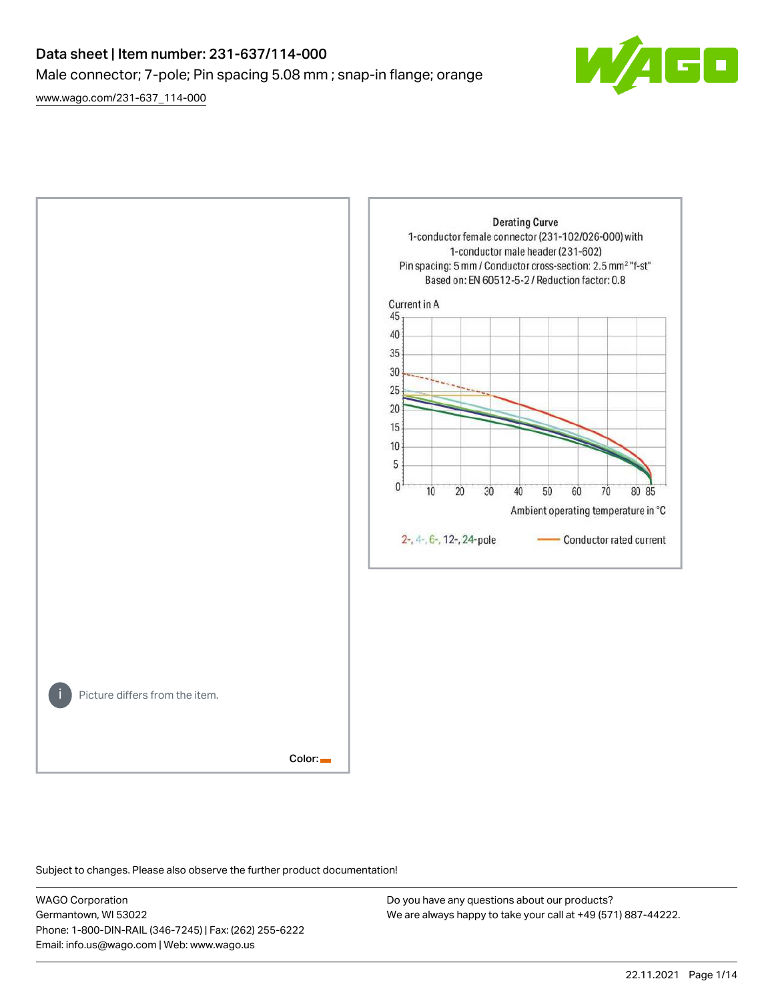# Data sheet | Item number: 231-637/114-000 Male connector; 7-pole; Pin spacing 5.08 mm ; snap-in flange; orange

[www.wago.com/231-637\\_114-000](http://www.wago.com/231-637_114-000)





Subject to changes. Please also observe the further product documentation!

WAGO Corporation Germantown, WI 53022 Phone: 1-800-DIN-RAIL (346-7245) | Fax: (262) 255-6222 Email: info.us@wago.com | Web: www.wago.us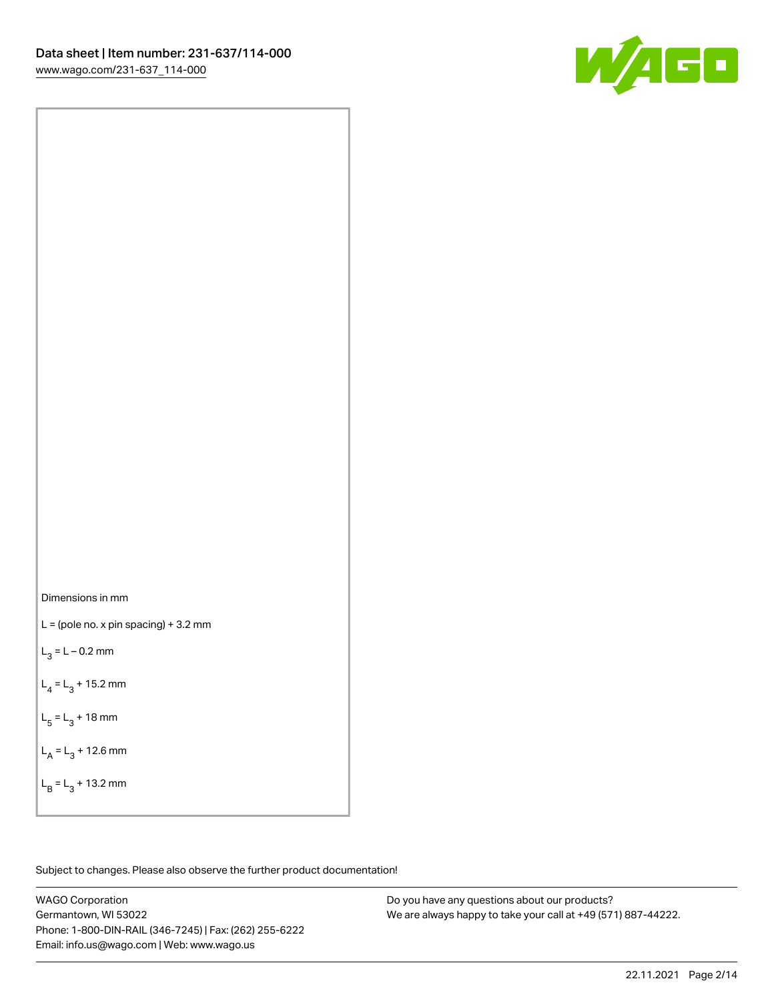

Dimensions in mm

 $L =$  (pole no. x pin spacing) + 3.2 mm

 $L_3 = L - 0.2$  mm

 $L_4 = L_3 + 15.2$  mm

 $L_5 = L_3 + 18$  mm

 $L_A = L_3 + 12.6$  mm

 $L_B = L_3 + 13.2$  mm

Subject to changes. Please also observe the further product documentation!

WAGO Corporation Germantown, WI 53022 Phone: 1-800-DIN-RAIL (346-7245) | Fax: (262) 255-6222 Email: info.us@wago.com | Web: www.wago.us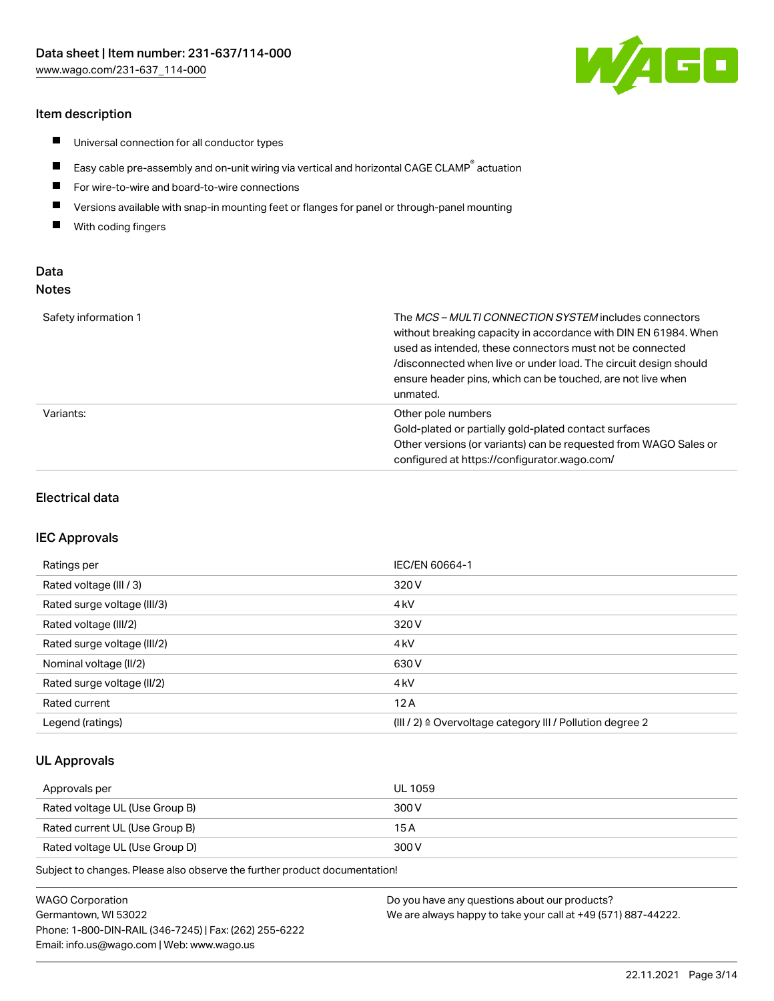#### Item description

- $\blacksquare$ Universal connection for all conductor types
- $\blacksquare$ Easy cable pre-assembly and on-unit wiring via vertical and horizontal CAGE CLAMP<sup>®</sup> actuation
- $\blacksquare$ For wire-to-wire and board-to-wire connections
- $\blacksquare$ Versions available with snap-in mounting feet or flanges for panel or through-panel mounting
- $\blacksquare$ With coding fingers

## Data Notes

| Safety information 1 | The <i>MCS – MULTI CONNECTION SYSTEM</i> includes connectors<br>without breaking capacity in accordance with DIN EN 61984. When<br>used as intended, these connectors must not be connected<br>/disconnected when live or under load. The circuit design should<br>ensure header pins, which can be touched, are not live when<br>unmated. |
|----------------------|--------------------------------------------------------------------------------------------------------------------------------------------------------------------------------------------------------------------------------------------------------------------------------------------------------------------------------------------|
| Variants:            | Other pole numbers<br>Gold-plated or partially gold-plated contact surfaces<br>Other versions (or variants) can be requested from WAGO Sales or<br>configured at https://configurator.wago.com/                                                                                                                                            |

#### Electrical data

#### IEC Approvals

| Ratings per                 | IEC/EN 60664-1                                                        |
|-----------------------------|-----------------------------------------------------------------------|
| Rated voltage (III / 3)     | 320 V                                                                 |
| Rated surge voltage (III/3) | 4 <sub>k</sub> V                                                      |
| Rated voltage (III/2)       | 320 V                                                                 |
| Rated surge voltage (III/2) | 4 <sub>k</sub> V                                                      |
| Nominal voltage (II/2)      | 630 V                                                                 |
| Rated surge voltage (II/2)  | 4 <sub>kV</sub>                                                       |
| Rated current               | 12A                                                                   |
| Legend (ratings)            | $(III / 2)$ $\triangle$ Overvoltage category III / Pollution degree 2 |

#### UL Approvals

| Approvals per                  | UL 1059 |
|--------------------------------|---------|
| Rated voltage UL (Use Group B) | 300 V   |
| Rated current UL (Use Group B) | 15 A    |
| Rated voltage UL (Use Group D) | 300 V   |

Subject to changes. Please also observe the further product documentation!

| <b>WAGO Corporation</b>                                | Do you have any questions about our products?                 |
|--------------------------------------------------------|---------------------------------------------------------------|
| Germantown, WI 53022                                   | We are always happy to take your call at +49 (571) 887-44222. |
| Phone: 1-800-DIN-RAIL (346-7245)   Fax: (262) 255-6222 |                                                               |
| Email: info.us@wago.com   Web: www.wago.us             |                                                               |

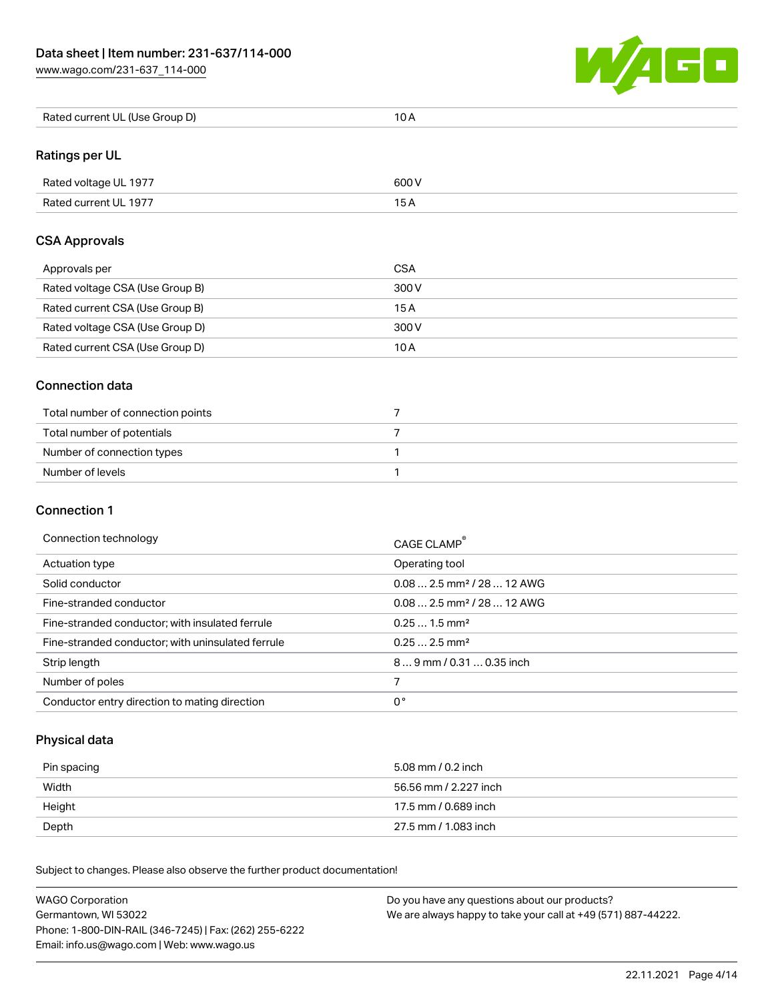

| Rated current UL (Use Group D) | 10 A |
|--------------------------------|------|
|--------------------------------|------|

## Ratings per UL

| Rated voltage UL 1977 | 600 V |
|-----------------------|-------|
| Rated current UL 1977 |       |

#### CSA Approvals

| Approvals per                   | CSA   |
|---------------------------------|-------|
| Rated voltage CSA (Use Group B) | 300 V |
| Rated current CSA (Use Group B) | 15 A  |
| Rated voltage CSA (Use Group D) | 300 V |
| Rated current CSA (Use Group D) | 10 A  |

#### Connection data

| Total number of connection points |  |
|-----------------------------------|--|
| Total number of potentials        |  |
| Number of connection types        |  |
| Number of levels                  |  |

## Connection 1

| Connection technology |  |
|-----------------------|--|
|-----------------------|--|

| Connection technology                             | CAGE CLAMP®                             |
|---------------------------------------------------|-----------------------------------------|
| Actuation type                                    | Operating tool                          |
| Solid conductor                                   | $0.08$ 2.5 mm <sup>2</sup> / 28  12 AWG |
| Fine-stranded conductor                           | $0.082.5$ mm <sup>2</sup> / 28  12 AWG  |
| Fine-stranded conductor; with insulated ferrule   | $0.251.5$ mm <sup>2</sup>               |
| Fine-stranded conductor; with uninsulated ferrule | $0.252.5$ mm <sup>2</sup>               |
| Strip length                                      | 89 mm / 0.31  0.35 inch                 |
| Number of poles                                   |                                         |
| Conductor entry direction to mating direction     | 0°                                      |

## Physical data

| Pin spacing | 5.08 mm / 0.2 inch    |
|-------------|-----------------------|
| Width       | 56.56 mm / 2.227 inch |
| Height      | 17.5 mm / 0.689 inch  |
| Depth       | 27.5 mm / 1.083 inch  |

Subject to changes. Please also observe the further product documentation! Mechanical data

| <b>WAGO Corporation</b>                                | Do you have any questions about our products?                 |
|--------------------------------------------------------|---------------------------------------------------------------|
| Germantown, WI 53022                                   | We are always happy to take your call at +49 (571) 887-44222. |
| Phone: 1-800-DIN-RAIL (346-7245)   Fax: (262) 255-6222 |                                                               |
| Email: info.us@wago.com   Web: www.wago.us             |                                                               |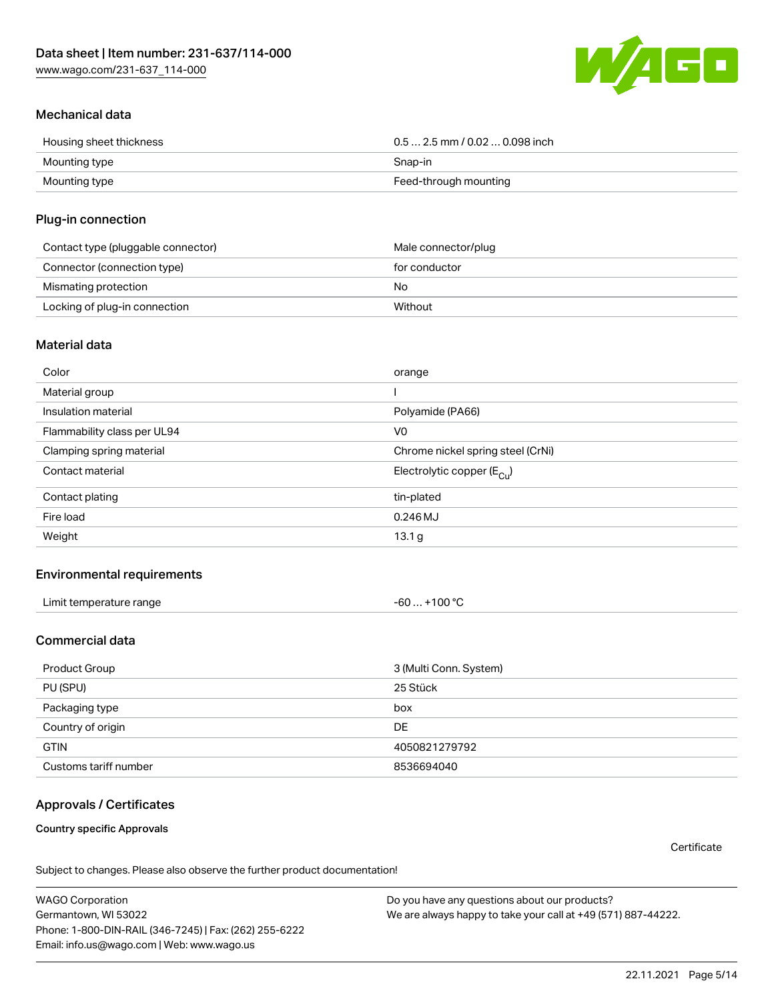

## Mechanical data

| Housing sheet thickness | $0.5$ 2.5 mm / 0.02  0.098 inch |
|-------------------------|---------------------------------|
| Mounting type           | Snap-in                         |
| Mounting type           | Feed-through mounting           |

#### Plug-in connection

| Contact type (pluggable connector) | Male connector/plug |
|------------------------------------|---------------------|
| Connector (connection type)        | for conductor       |
| Mismating protection               | No                  |
| Locking of plug-in connection      | Without             |

#### Material data

| Color                       | orange                                |
|-----------------------------|---------------------------------------|
| Material group              |                                       |
| Insulation material         | Polyamide (PA66)                      |
| Flammability class per UL94 | V <sub>0</sub>                        |
| Clamping spring material    | Chrome nickel spring steel (CrNi)     |
| Contact material            | Electrolytic copper $(E_{\text{Cu}})$ |
| Contact plating             | tin-plated                            |
| Fire load                   | $0.246$ MJ                            |
| Weight                      | 13.1 g                                |

## Environmental requirements

| Limit temperature range<br>the contract of the contract of the contract of the contract of the contract of the contract of the contract of | .+100 °C<br>-60 |  |
|--------------------------------------------------------------------------------------------------------------------------------------------|-----------------|--|
|--------------------------------------------------------------------------------------------------------------------------------------------|-----------------|--|

## Commercial data

| Product Group         | 3 (Multi Conn. System) |
|-----------------------|------------------------|
| PU (SPU)              | 25 Stück               |
| Packaging type        | box                    |
| Country of origin     | DE                     |
| <b>GTIN</b>           | 4050821279792          |
| Customs tariff number | 8536694040             |

## Approvals / Certificates

Country specific Approvals

**Certificate** 

Subject to changes. Please also observe the further product documentation!

WAGO Corporation Germantown, WI 53022 Phone: 1-800-DIN-RAIL (346-7245) | Fax: (262) 255-6222 Email: info.us@wago.com | Web: www.wago.us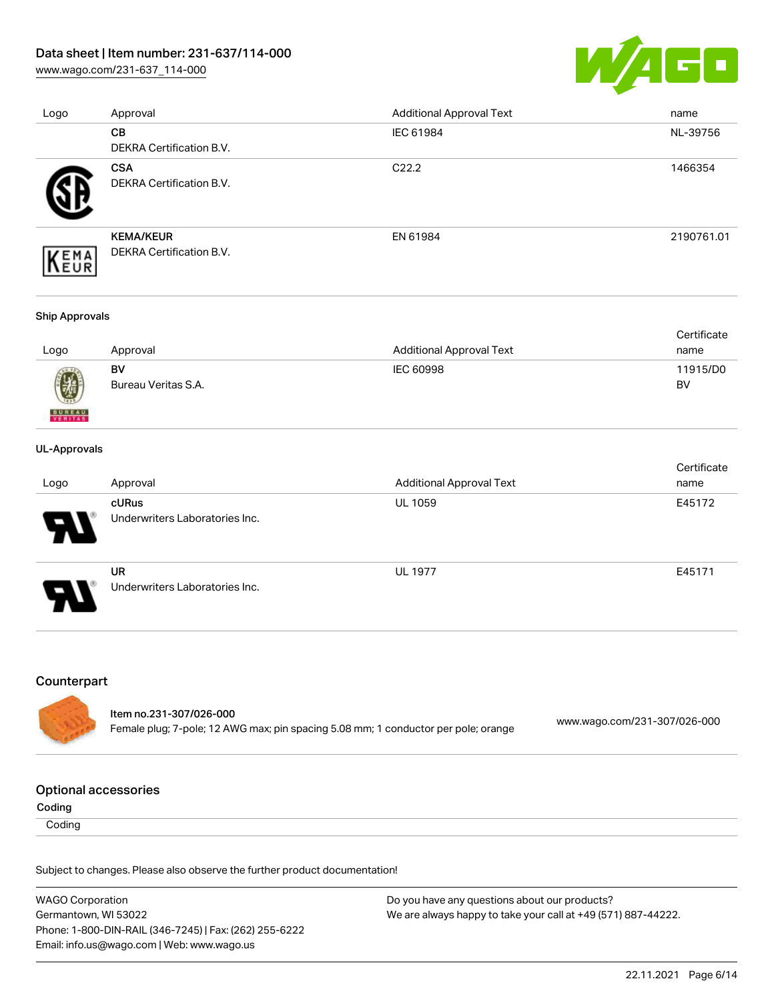## Data sheet | Item number: 231-637/114-000

[www.wago.com/231-637\\_114-000](http://www.wago.com/231-637_114-000)



| Logo | Approval                 | <b>Additional Approval Text</b> | name       |
|------|--------------------------|---------------------------------|------------|
|      | CB                       | IEC 61984                       | NL-39756   |
|      | DEKRA Certification B.V. |                                 |            |
|      | <b>CSA</b>               | C <sub>22.2</sub>               | 1466354    |
|      | DEKRA Certification B.V. |                                 |            |
|      | <b>KEMA/KEUR</b>         | EN 61984                        | 2190761.01 |
| EMA  | DEKRA Certification B.V. |                                 |            |

#### Ship Approvals

|      |                     |                          | Certificate |
|------|---------------------|--------------------------|-------------|
| Logo | Approval            | Additional Approval Text | name        |
|      | BV                  | IEC 60998                | 11915/D0    |
| 0    | Bureau Veritas S.A. |                          | BV          |

#### UL-Approvals

**BUREAU** 

|                            |                                             |                                 | Certificate |
|----------------------------|---------------------------------------------|---------------------------------|-------------|
| Logo                       | Approval                                    | <b>Additional Approval Text</b> | name        |
| $\boldsymbol{\mathcal{A}}$ | cURus<br>Underwriters Laboratories Inc.     | <b>UL 1059</b>                  | E45172      |
| J                          | <b>UR</b><br>Underwriters Laboratories Inc. | <b>UL 1977</b>                  | E45171      |

#### Counterpart

| ltem no.231-307/026-000                                                            |                              |
|------------------------------------------------------------------------------------|------------------------------|
|                                                                                    | www.wago.com/231-307/026-000 |
| Female plug; 7-pole; 12 AWG max; pin spacing 5.08 mm; 1 conductor per pole; orange |                              |

#### Optional accessories

Coding

**Coding** 

Subject to changes. Please also observe the further product documentation!

| <b>WAGO Corporation</b>                                | Do you have any questions about our products?                 |
|--------------------------------------------------------|---------------------------------------------------------------|
| Germantown, WI 53022                                   | We are always happy to take your call at +49 (571) 887-44222. |
| Phone: 1-800-DIN-RAIL (346-7245)   Fax: (262) 255-6222 |                                                               |
| Email: info.us@wago.com   Web: www.wago.us             |                                                               |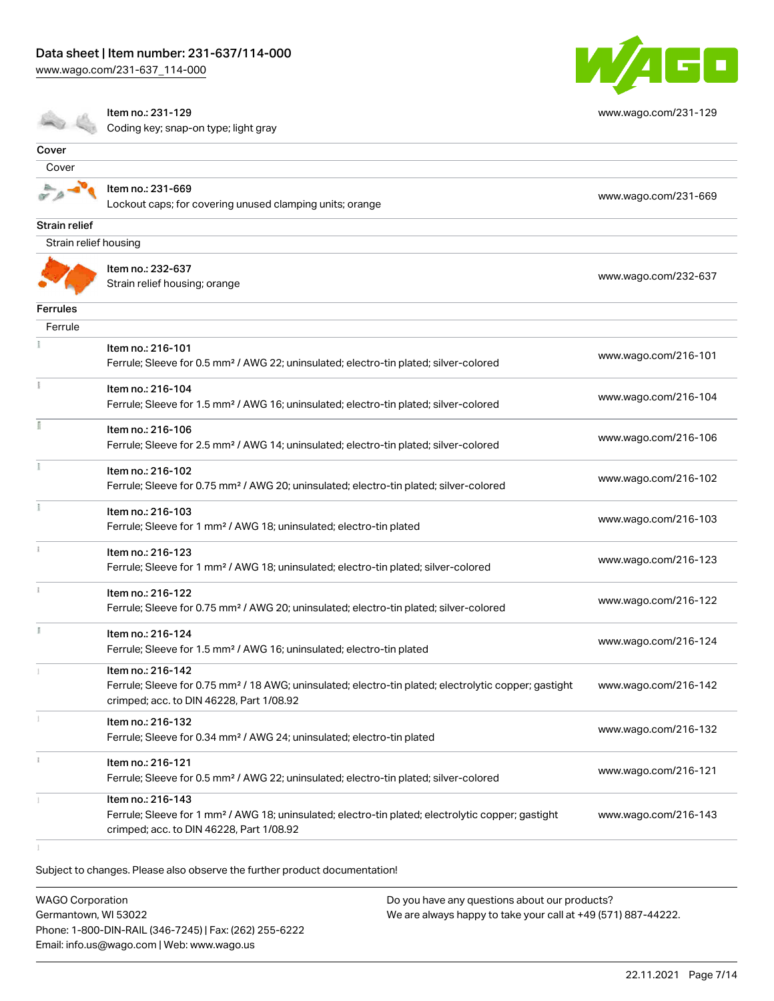

|                       | Item no.: 231-129<br>Coding key; snap-on type; light gray                                                                                                                          | www.wago.com/231-129 |
|-----------------------|------------------------------------------------------------------------------------------------------------------------------------------------------------------------------------|----------------------|
| Cover                 |                                                                                                                                                                                    |                      |
| Cover                 |                                                                                                                                                                                    |                      |
|                       | Item no.: 231-669<br>Lockout caps; for covering unused clamping units; orange                                                                                                      | www.wago.com/231-669 |
| Strain relief         |                                                                                                                                                                                    |                      |
| Strain relief housing |                                                                                                                                                                                    |                      |
|                       | Item no.: 232-637<br>Strain relief housing; orange                                                                                                                                 | www.wago.com/232-637 |
| <b>Ferrules</b>       |                                                                                                                                                                                    |                      |
| Ferrule               |                                                                                                                                                                                    |                      |
|                       | Item no.: 216-101<br>Ferrule; Sleeve for 0.5 mm <sup>2</sup> / AWG 22; uninsulated; electro-tin plated; silver-colored                                                             | www.wago.com/216-101 |
|                       | Item no.: 216-104<br>Ferrule; Sleeve for 1.5 mm <sup>2</sup> / AWG 16; uninsulated; electro-tin plated; silver-colored                                                             | www.wago.com/216-104 |
| ĭ                     | Item no.: 216-106<br>Ferrule; Sleeve for 2.5 mm <sup>2</sup> / AWG 14; uninsulated; electro-tin plated; silver-colored                                                             | www.wago.com/216-106 |
|                       | Item no.: 216-102<br>Ferrule; Sleeve for 0.75 mm <sup>2</sup> / AWG 20; uninsulated; electro-tin plated; silver-colored                                                            | www.wago.com/216-102 |
| ĭ.                    | Item no.: 216-103<br>Ferrule; Sleeve for 1 mm <sup>2</sup> / AWG 18; uninsulated; electro-tin plated                                                                               | www.wago.com/216-103 |
|                       | Item no.: 216-123<br>Ferrule; Sleeve for 1 mm <sup>2</sup> / AWG 18; uninsulated; electro-tin plated; silver-colored                                                               | www.wago.com/216-123 |
|                       | Item no.: 216-122<br>Ferrule; Sleeve for 0.75 mm <sup>2</sup> / AWG 20; uninsulated; electro-tin plated; silver-colored                                                            | www.wago.com/216-122 |
| Ĭ.                    | Item no.: 216-124<br>Ferrule; Sleeve for 1.5 mm <sup>2</sup> / AWG 16; uninsulated; electro-tin plated                                                                             | www.wago.com/216-124 |
|                       | Item no.: 216-142<br>Ferrule; Sleeve for 0.75 mm <sup>2</sup> / 18 AWG; uninsulated; electro-tin plated; electrolytic copper; gastight<br>crimped; acc. to DIN 46228, Part 1/08.92 | www.wago.com/216-142 |
|                       | Item no.: 216-132<br>Ferrule; Sleeve for 0.34 mm <sup>2</sup> / AWG 24; uninsulated; electro-tin plated                                                                            | www.wago.com/216-132 |
|                       | Item no.: 216-121<br>Ferrule; Sleeve for 0.5 mm <sup>2</sup> / AWG 22; uninsulated; electro-tin plated; silver-colored                                                             | www.wago.com/216-121 |
|                       | Item no.: 216-143<br>Ferrule; Sleeve for 1 mm <sup>2</sup> / AWG 18; uninsulated; electro-tin plated; electrolytic copper; gastight<br>crimped; acc. to DIN 46228, Part 1/08.92    | www.wago.com/216-143 |
|                       |                                                                                                                                                                                    |                      |

Subject to changes. Please also observe the further product documentation!

WAGO Corporation Germantown, WI 53022 Phone: 1-800-DIN-RAIL (346-7245) | Fax: (262) 255-6222 Email: info.us@wago.com | Web: www.wago.us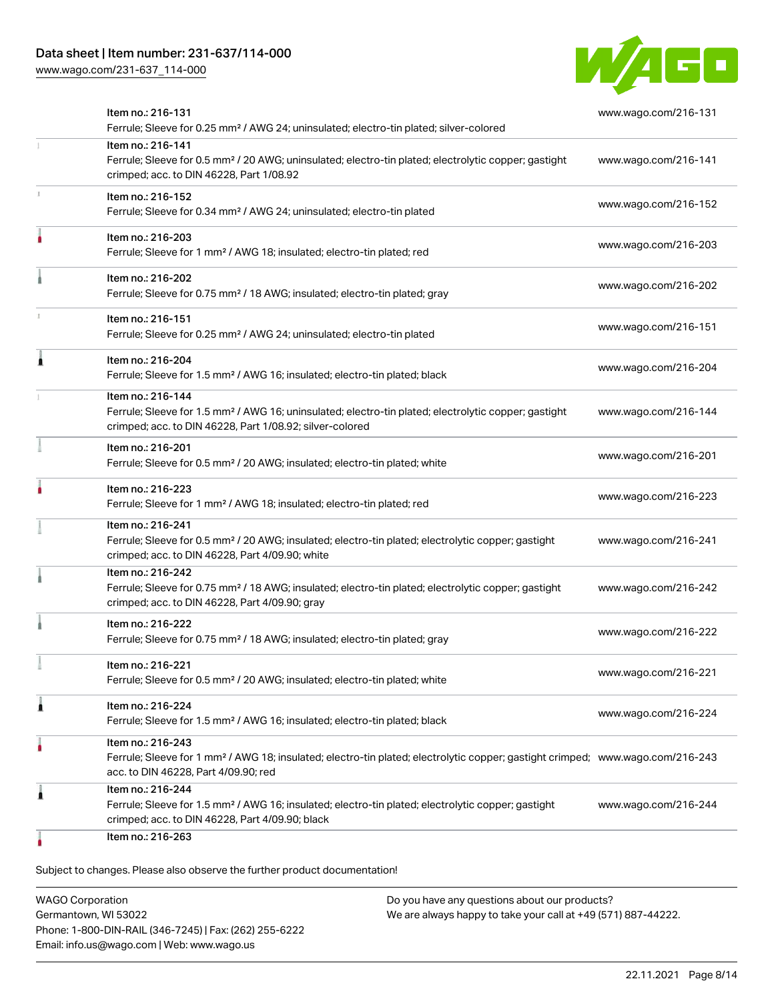

| Item no.: 216-131<br>Ferrule; Sleeve for 0.25 mm <sup>2</sup> / AWG 24; uninsulated; electro-tin plated; silver-colored                                                                                 | www.wago.com/216-131 |
|---------------------------------------------------------------------------------------------------------------------------------------------------------------------------------------------------------|----------------------|
| Item no.: 216-141<br>Ferrule; Sleeve for 0.5 mm <sup>2</sup> / 20 AWG; uninsulated; electro-tin plated; electrolytic copper; gastight<br>crimped; acc. to DIN 46228, Part 1/08.92                       | www.wago.com/216-141 |
| Item no.: 216-152<br>Ferrule; Sleeve for 0.34 mm <sup>2</sup> / AWG 24; uninsulated; electro-tin plated                                                                                                 | www.wago.com/216-152 |
| Item no.: 216-203<br>Ferrule; Sleeve for 1 mm <sup>2</sup> / AWG 18; insulated; electro-tin plated; red                                                                                                 | www.wago.com/216-203 |
| Item no.: 216-202<br>Ferrule; Sleeve for 0.75 mm <sup>2</sup> / 18 AWG; insulated; electro-tin plated; gray                                                                                             | www.wago.com/216-202 |
| Item no.: 216-151<br>Ferrule; Sleeve for 0.25 mm <sup>2</sup> / AWG 24; uninsulated; electro-tin plated                                                                                                 | www.wago.com/216-151 |
| Item no.: 216-204<br>Ferrule; Sleeve for 1.5 mm <sup>2</sup> / AWG 16; insulated; electro-tin plated; black                                                                                             | www.wago.com/216-204 |
| Item no.: 216-144<br>Ferrule; Sleeve for 1.5 mm <sup>2</sup> / AWG 16; uninsulated; electro-tin plated; electrolytic copper; gastight<br>crimped; acc. to DIN 46228, Part 1/08.92; silver-colored       | www.wago.com/216-144 |
| Item no.: 216-201<br>Ferrule; Sleeve for 0.5 mm <sup>2</sup> / 20 AWG; insulated; electro-tin plated; white                                                                                             | www.wago.com/216-201 |
| Item no.: 216-223<br>Ferrule; Sleeve for 1 mm <sup>2</sup> / AWG 18; insulated; electro-tin plated; red                                                                                                 | www.wago.com/216-223 |
| Item no.: 216-241<br>Ferrule; Sleeve for 0.5 mm <sup>2</sup> / 20 AWG; insulated; electro-tin plated; electrolytic copper; gastight<br>crimped; acc. to DIN 46228, Part 4/09.90; white                  | www.wago.com/216-241 |
| Item no.: 216-242<br>Ferrule; Sleeve for 0.75 mm <sup>2</sup> / 18 AWG; insulated; electro-tin plated; electrolytic copper; gastight<br>crimped; acc. to DIN 46228, Part 4/09.90; gray                  | www.wago.com/216-242 |
| Item no.: 216-222<br>Ferrule; Sleeve for 0.75 mm <sup>2</sup> / 18 AWG; insulated; electro-tin plated; gray                                                                                             | www.wago.com/216-222 |
| Item no.: 216-221<br>Ferrule; Sleeve for 0.5 mm <sup>2</sup> / 20 AWG; insulated; electro-tin plated; white                                                                                             | www.wago.com/216-221 |
| Item no.: 216-224<br>Ferrule; Sleeve for 1.5 mm <sup>2</sup> / AWG 16; insulated; electro-tin plated; black                                                                                             | www.wago.com/216-224 |
| Item no.: 216-243<br>Ferrule; Sleeve for 1 mm <sup>2</sup> / AWG 18; insulated; electro-tin plated; electrolytic copper; gastight crimped; www.wago.com/216-243<br>acc. to DIN 46228, Part 4/09.90; red |                      |
| Item no.: 216-244<br>Ferrule; Sleeve for 1.5 mm <sup>2</sup> / AWG 16; insulated; electro-tin plated; electrolytic copper; gastight<br>crimped; acc. to DIN 46228, Part 4/09.90; black                  | www.wago.com/216-244 |
| Item no.: 216-263                                                                                                                                                                                       |                      |

WAGO Corporation Germantown, WI 53022 Phone: 1-800-DIN-RAIL (346-7245) | Fax: (262) 255-6222 Email: info.us@wago.com | Web: www.wago.us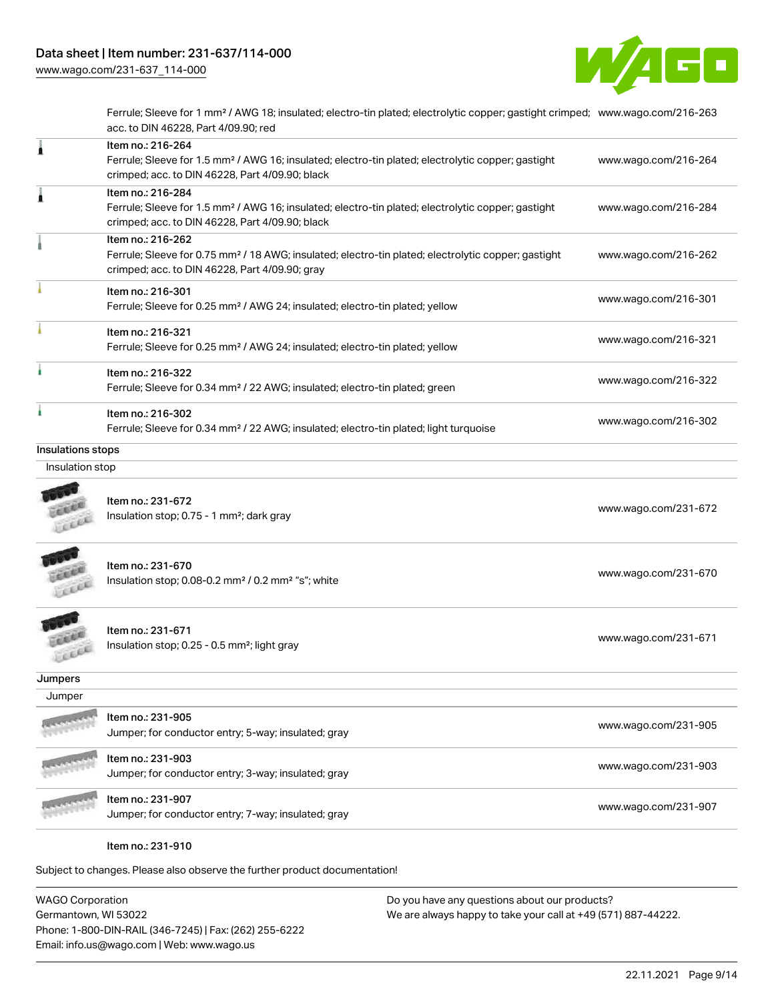

Ferrule; Sleeve for 1 mm² / AWG 18; insulated; electro-tin plated; electrolytic copper; gastight crimped; [www.wago.com/216-263](http://www.wago.com/216-263) acc. to DIN 46228, Part 4/09.90; red

|                   | Item no.: 216-264<br>Ferrule; Sleeve for 1.5 mm <sup>2</sup> / AWG 16; insulated; electro-tin plated; electrolytic copper; gastight<br>crimped; acc. to DIN 46228, Part 4/09.90; black | www.wago.com/216-264 |
|-------------------|----------------------------------------------------------------------------------------------------------------------------------------------------------------------------------------|----------------------|
| 1                 | Item no.: 216-284<br>Ferrule; Sleeve for 1.5 mm <sup>2</sup> / AWG 16; insulated; electro-tin plated; electrolytic copper; gastight<br>crimped; acc. to DIN 46228, Part 4/09.90; black | www.wago.com/216-284 |
|                   | Item no.: 216-262<br>Ferrule; Sleeve for 0.75 mm <sup>2</sup> / 18 AWG; insulated; electro-tin plated; electrolytic copper; gastight<br>crimped; acc. to DIN 46228, Part 4/09.90; gray | www.wago.com/216-262 |
|                   | Item no.: 216-301<br>Ferrule; Sleeve for 0.25 mm <sup>2</sup> / AWG 24; insulated; electro-tin plated; yellow                                                                          | www.wago.com/216-301 |
|                   | Item no.: 216-321<br>Ferrule; Sleeve for 0.25 mm <sup>2</sup> / AWG 24; insulated; electro-tin plated; yellow                                                                          | www.wago.com/216-321 |
|                   | Item no.: 216-322<br>Ferrule; Sleeve for 0.34 mm <sup>2</sup> / 22 AWG; insulated; electro-tin plated; green                                                                           | www.wago.com/216-322 |
|                   | Item no.: 216-302<br>Ferrule; Sleeve for 0.34 mm <sup>2</sup> / 22 AWG; insulated; electro-tin plated; light turquoise                                                                 | www.wago.com/216-302 |
| Insulations stops |                                                                                                                                                                                        |                      |
| Insulation stop   |                                                                                                                                                                                        |                      |
| Leed              | Item no.: 231-672<br>Insulation stop; 0.75 - 1 mm <sup>2</sup> ; dark gray                                                                                                             | www.wago.com/231-672 |
|                   | Item no.: 231-670<br>Insulation stop; 0.08-0.2 mm <sup>2</sup> / 0.2 mm <sup>2</sup> "s"; white                                                                                        | www.wago.com/231-670 |
| LEEL              | Item no.: 231-671<br>Insulation stop; 0.25 - 0.5 mm <sup>2</sup> ; light gray                                                                                                          | www.wago.com/231-671 |
| Jumpers           |                                                                                                                                                                                        |                      |
| Jumper            |                                                                                                                                                                                        |                      |
|                   | ltem no.: 231-905                                                                                                                                                                      |                      |
|                   | Jumper; for conductor entry; 5-way; insulated; gray                                                                                                                                    | www.wago.com/231-905 |
|                   | Item no.: 231-903<br>Jumper; for conductor entry; 3-way; insulated; gray                                                                                                               | www.wago.com/231-903 |
|                   | Item no.: 231-907<br>Jumper; for conductor entry; 7-way; insulated; gray                                                                                                               | www.wago.com/231-907 |
|                   | Item no.: 231-910                                                                                                                                                                      |                      |

Subject to changes. Please also observe the further product documentation!

WAGO Corporation Germantown, WI 53022 Phone: 1-800-DIN-RAIL (346-7245) | Fax: (262) 255-6222 Email: info.us@wago.com | Web: www.wago.us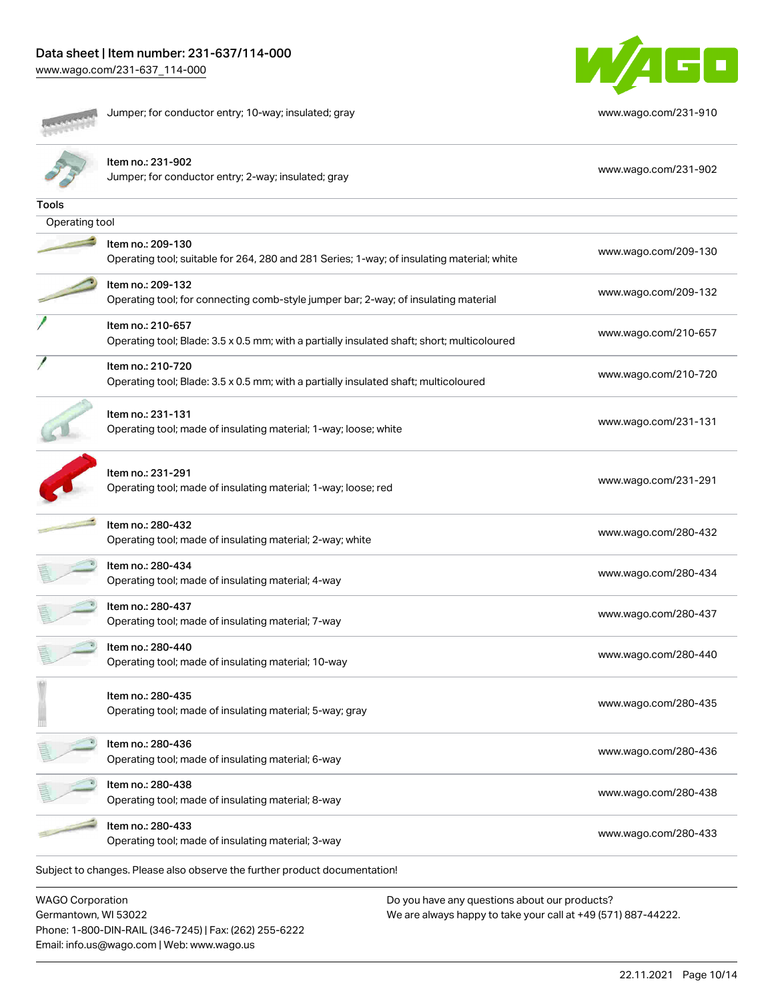**COLLEGE Reader Secondary** 

Jumper; for conductor entry; 10-way; insulated; gray [www.wago.com/231-910](http://www.wago.com/231-910)



|                                                                            | Item no.: 231-902<br>Jumper; for conductor entry; 2-way; insulated; gray                                         | www.wago.com/231-902                          |  |  |  |
|----------------------------------------------------------------------------|------------------------------------------------------------------------------------------------------------------|-----------------------------------------------|--|--|--|
| Tools                                                                      |                                                                                                                  |                                               |  |  |  |
| Operating tool                                                             |                                                                                                                  |                                               |  |  |  |
|                                                                            | Item no.: 209-130<br>Operating tool; suitable for 264, 280 and 281 Series; 1-way; of insulating material; white  | www.wago.com/209-130                          |  |  |  |
|                                                                            | Item no.: 209-132<br>Operating tool; for connecting comb-style jumper bar; 2-way; of insulating material         | www.wago.com/209-132                          |  |  |  |
|                                                                            | Item no.: 210-657<br>Operating tool; Blade: 3.5 x 0.5 mm; with a partially insulated shaft; short; multicoloured | www.wago.com/210-657                          |  |  |  |
|                                                                            | Item no.: 210-720<br>Operating tool; Blade: 3.5 x 0.5 mm; with a partially insulated shaft; multicoloured        | www.wago.com/210-720                          |  |  |  |
|                                                                            | Item no.: 231-131<br>Operating tool; made of insulating material; 1-way; loose; white                            | www.wago.com/231-131                          |  |  |  |
|                                                                            | Item no.: 231-291<br>Operating tool; made of insulating material; 1-way; loose; red                              | www.wago.com/231-291                          |  |  |  |
|                                                                            | Item no.: 280-432<br>Operating tool; made of insulating material; 2-way; white                                   | www.wago.com/280-432                          |  |  |  |
|                                                                            | Item no.: 280-434<br>Operating tool; made of insulating material; 4-way                                          | www.wago.com/280-434                          |  |  |  |
|                                                                            | Item no.: 280-437<br>Operating tool; made of insulating material; 7-way                                          | www.wago.com/280-437                          |  |  |  |
|                                                                            | Item no.: 280-440<br>Operating tool; made of insulating material; 10-way                                         | www.wago.com/280-440                          |  |  |  |
|                                                                            | Item no.: 280-435<br>Operating tool; made of insulating material; 5-way; gray                                    | www.wago.com/280-435                          |  |  |  |
|                                                                            | Item no.: 280-436<br>Operating tool; made of insulating material; 6-way                                          | www.wago.com/280-436                          |  |  |  |
|                                                                            | Item no.: 280-438<br>Operating tool; made of insulating material; 8-way                                          | www.wago.com/280-438                          |  |  |  |
|                                                                            | Item no.: 280-433<br>Operating tool; made of insulating material; 3-way                                          | www.wago.com/280-433                          |  |  |  |
| Subject to changes. Please also observe the further product documentation! |                                                                                                                  |                                               |  |  |  |
| <b>WAGO Corporation</b>                                                    |                                                                                                                  | Do you have any questions about our products? |  |  |  |

Germantown, WI 53022 Phone: 1-800-DIN-RAIL (346-7245) | Fax: (262) 255-6222 Email: info.us@wago.com | Web: www.wago.us

We are always happy to take your call at +49 (571) 887-44222.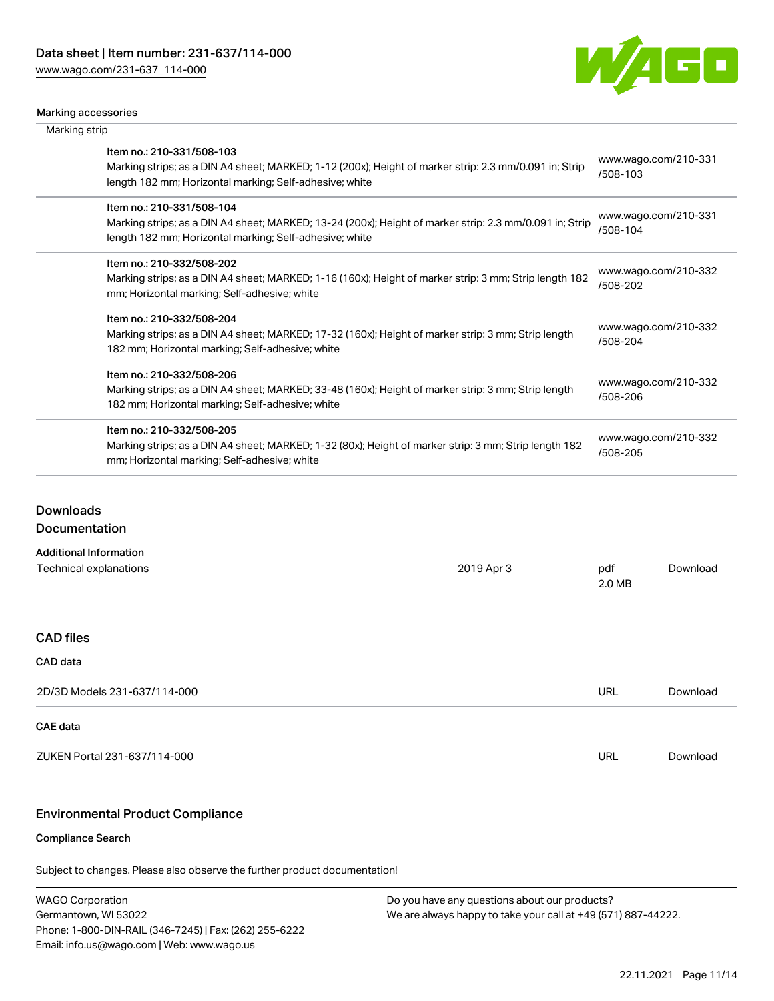

#### Marking accessories

| Marking strip |                                                                                                                                                                                                 |                                  |
|---------------|-------------------------------------------------------------------------------------------------------------------------------------------------------------------------------------------------|----------------------------------|
|               | Item no.: 210-331/508-103<br>Marking strips; as a DIN A4 sheet; MARKED; 1-12 (200x); Height of marker strip: 2.3 mm/0.091 in; Strip<br>length 182 mm; Horizontal marking; Self-adhesive; white  | www.wago.com/210-331<br>/508-103 |
|               | Item no.: 210-331/508-104<br>Marking strips; as a DIN A4 sheet; MARKED; 13-24 (200x); Height of marker strip: 2.3 mm/0.091 in; Strip<br>length 182 mm; Horizontal marking; Self-adhesive; white | www.wago.com/210-331<br>/508-104 |
|               | Item no.: 210-332/508-202<br>Marking strips; as a DIN A4 sheet; MARKED; 1-16 (160x); Height of marker strip: 3 mm; Strip length 182<br>mm; Horizontal marking; Self-adhesive; white             | www.wago.com/210-332<br>/508-202 |
|               | Item no.: 210-332/508-204<br>Marking strips; as a DIN A4 sheet; MARKED; 17-32 (160x); Height of marker strip: 3 mm; Strip length<br>182 mm; Horizontal marking; Self-adhesive; white            | www.wago.com/210-332<br>/508-204 |
|               | Item no.: 210-332/508-206<br>Marking strips; as a DIN A4 sheet; MARKED; 33-48 (160x); Height of marker strip: 3 mm; Strip length<br>182 mm; Horizontal marking; Self-adhesive; white            | www.wago.com/210-332<br>/508-206 |
|               | Item no.: 210-332/508-205<br>Marking strips; as a DIN A4 sheet; MARKED; 1-32 (80x); Height of marker strip: 3 mm; Strip length 182<br>mm; Horizontal marking; Self-adhesive; white              | www.wago.com/210-332<br>/508-205 |
|               |                                                                                                                                                                                                 |                                  |

## **Downloads**

Documentation

| <b>Additional Information</b> |            |               |          |
|-------------------------------|------------|---------------|----------|
| Technical explanations        | 2019 Apr 3 | pdf<br>2.0 MB | Download |
|                               |            |               |          |
| <b>CAD files</b>              |            |               |          |
| <b>CAD</b> data               |            |               |          |
| 2D/3D Models 231-637/114-000  |            | <b>URL</b>    | Download |
| <b>CAE</b> data               |            |               |          |
| ZUKEN Portal 231-637/114-000  |            | <b>URL</b>    | Download |

### Environmental Product Compliance

#### Compliance Search

Subject to changes. Please also observe the further product documentation!

WAGO Corporation Germantown, WI 53022 Phone: 1-800-DIN-RAIL (346-7245) | Fax: (262) 255-6222 Email: info.us@wago.com | Web: www.wago.us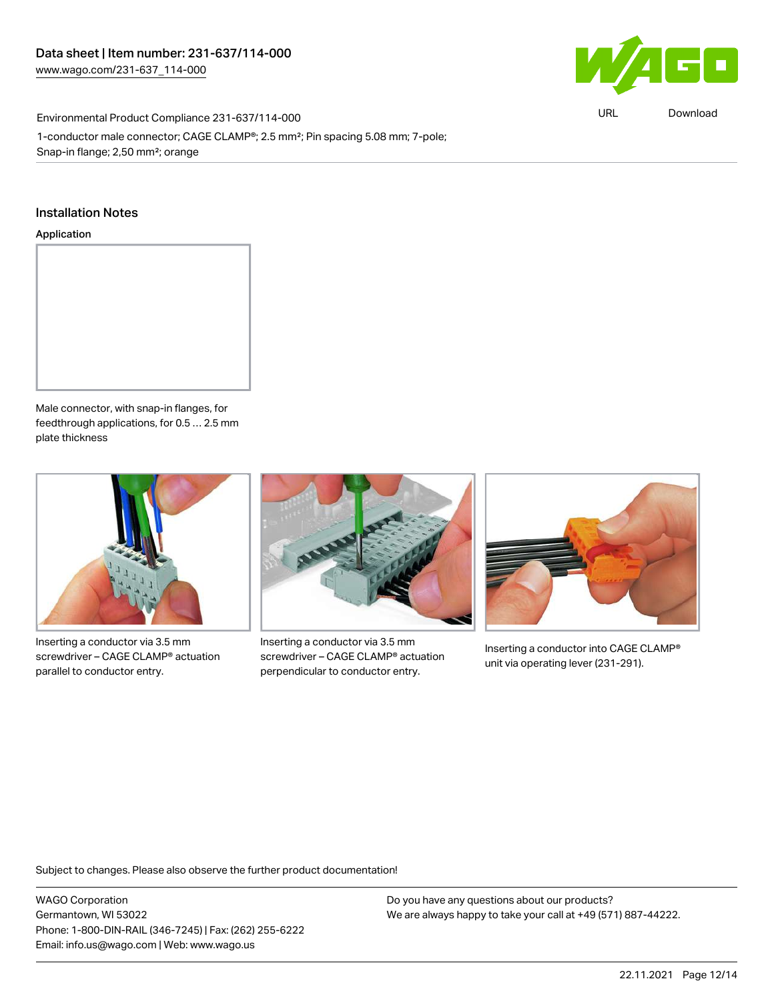

URL [Download](https://www.wago.com/global/d/ComplianceLinkMediaContainer_231-637_114-000)

Environmental Product Compliance 231-637/114-000 1-conductor male connector; CAGE CLAMP®; 2.5 mm²; Pin spacing 5.08 mm; 7-pole; Snap-in flange; 2,50 mm²; orange

#### Installation Notes

#### Application



Male connector, with snap-in flanges, for feedthrough applications, for 0.5 … 2.5 mm plate thickness



Inserting a conductor via 3.5 mm screwdriver – CAGE CLAMP® actuation parallel to conductor entry.



Inserting a conductor via 3.5 mm screwdriver – CAGE CLAMP® actuation perpendicular to conductor entry.



Inserting a conductor into CAGE CLAMP® unit via operating lever (231-291).

Subject to changes. Please also observe the further product documentation!

WAGO Corporation Germantown, WI 53022 Phone: 1-800-DIN-RAIL (346-7245) | Fax: (262) 255-6222 Email: info.us@wago.com | Web: www.wago.us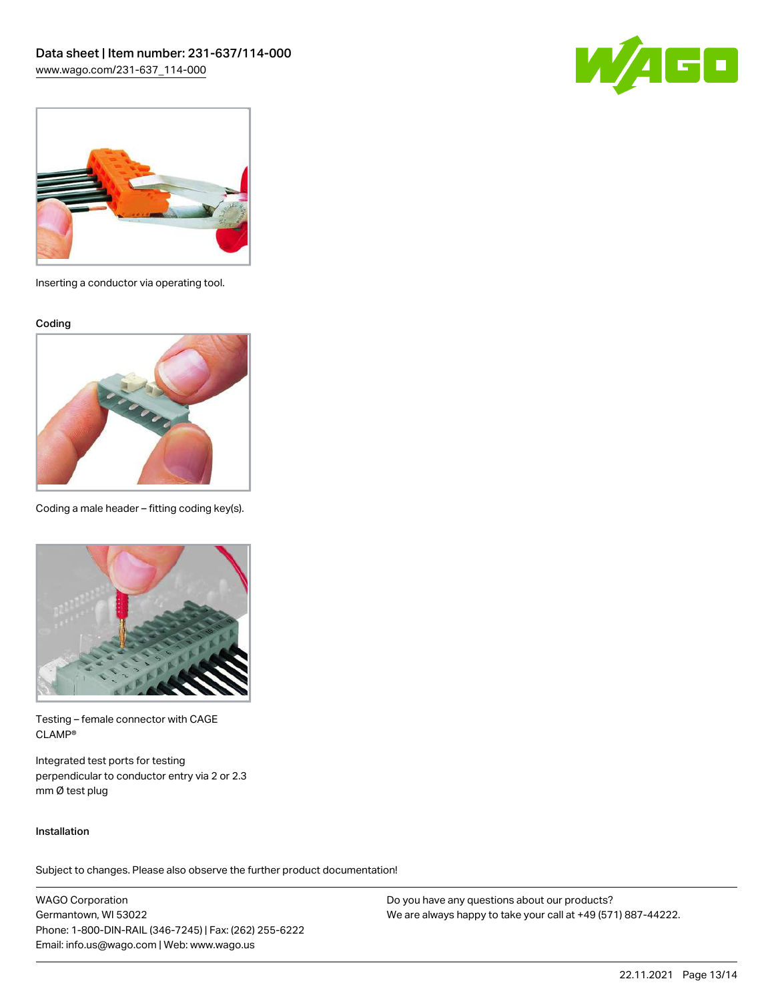



Inserting a conductor via operating tool.

Coding



Coding a male header – fitting coding key(s).



Testing – female connector with CAGE CLAMP®

Integrated test ports for testing perpendicular to conductor entry via 2 or 2.3 mm Ø test plug

#### Installation

Subject to changes. Please also observe the further product documentation!

WAGO Corporation Germantown, WI 53022 Phone: 1-800-DIN-RAIL (346-7245) | Fax: (262) 255-6222 Email: info.us@wago.com | Web: www.wago.us